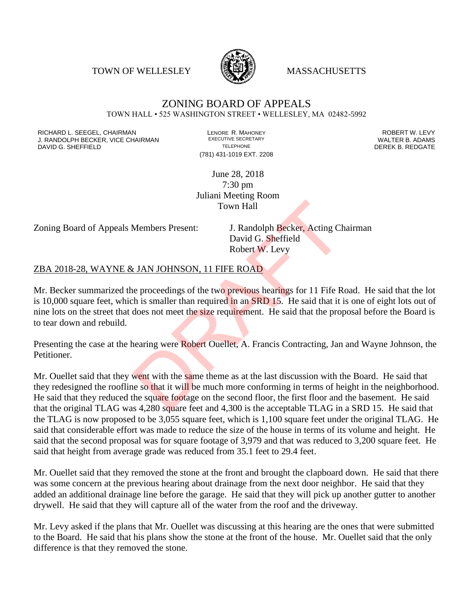TOWN OF WELLESLEY **WASSACHUSETTS** 



## ZONING BOARD OF APPEALS TOWN HALL • 525 WASHINGTON STREET • WELLESLEY, MA 02482-5992

RICHARD L. SEEGEL, CHAIRMAN LENORE R. MAHONEY ROBERT W. LEVY J. RANDOLPH BECKER, VICE CHAIRMAN EXECUTIVE SECRETARY OF TELEPHONE DAVID G. SHEFFIELD **TELEPHONE** TELEPHONE TELEPHONE **TELEPHONE DEREK B. REDGATE** 

(781) 431-1019 EXT. 2208

June 28, 2018 7:30 pm Juliani Meeting Room Town Hall

Zoning Board of Appeals Members Present: J. Randolph Becker, Acting Chairman

David G. Sheffield Robert W. Levy

## ZBA 2018-28, WAYNE & JAN JOHNSON, 11 FIFE ROAD

Mr. Becker summarized the proceedings of the two previous hearings for 11 Fife Road. He said that the lot is 10,000 square feet, which is smaller than required in an **SRD 15**. He said that it is one of eight lots out of nine lots on the street that does not meet the size requirement. He said that the proposal before the Board is to tear down and rebuild. Town Hall<br>Members Present: J. Randolph Becker, Acting Charlow David G. Sheffield<br>Robert W. Levy<br>LAN JOHNSON, 11 FIFE ROAD<br>Represedings of the two previous hearings for 11 Fife R<br>h is smaller than required in an SRD 15. He

Presenting the case at the hearing were Robert Ouellet, A. Francis Contracting, Jan and Wayne Johnson, the Petitioner.

Mr. Ouellet said that they went with the same theme as at the last discussion with the Board. He said that they redesigned the roofline so that it will be much more conforming in terms of height in the neighborhood. He said that they reduced the square footage on the second floor, the first floor and the basement. He said that the original TLAG was 4,280 square feet and 4,300 is the acceptable TLAG in a SRD 15. He said that the TLAG is now proposed to be 3,055 square feet, which is 1,100 square feet under the original TLAG. He said that considerable effort was made to reduce the size of the house in terms of its volume and height. He said that the second proposal was for square footage of 3,979 and that was reduced to 3,200 square feet. He said that height from average grade was reduced from 35.1 feet to 29.4 feet.

Mr. Ouellet said that they removed the stone at the front and brought the clapboard down. He said that there was some concern at the previous hearing about drainage from the next door neighbor. He said that they added an additional drainage line before the garage. He said that they will pick up another gutter to another drywell. He said that they will capture all of the water from the roof and the driveway.

Mr. Levy asked if the plans that Mr. Ouellet was discussing at this hearing are the ones that were submitted to the Board. He said that his plans show the stone at the front of the house. Mr. Ouellet said that the only difference is that they removed the stone.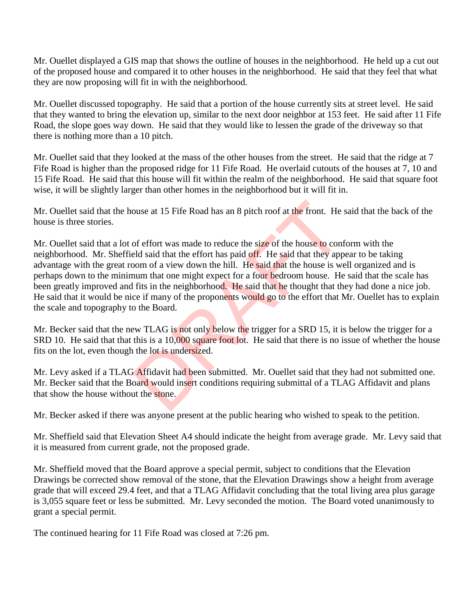Mr. Ouellet displayed a GIS map that shows the outline of houses in the neighborhood. He held up a cut out of the proposed house and compared it to other houses in the neighborhood. He said that they feel that what they are now proposing will fit in with the neighborhood.

Mr. Ouellet discussed topography. He said that a portion of the house currently sits at street level. He said that they wanted to bring the elevation up, similar to the next door neighbor at 153 feet. He said after 11 Fife Road, the slope goes way down. He said that they would like to lessen the grade of the driveway so that there is nothing more than a 10 pitch.

Mr. Ouellet said that they looked at the mass of the other houses from the street. He said that the ridge at 7 Fife Road is higher than the proposed ridge for 11 Fife Road. He overlaid cutouts of the houses at 7, 10 and 15 Fife Road. He said that this house will fit within the realm of the neighborhood. He said that square foot wise, it will be slightly larger than other homes in the neighborhood but it will fit in.

Mr. Ouellet said that the house at 15 Fife Road has an 8 pitch roof at the front. He said that the back of the house is three stories.

Mr. Ouellet said that a lot of effort was made to reduce the size of the house to conform with the neighborhood. Mr. Sheffield said that the effort has paid off. He said that they appear to be taking advantage with the great room of a view down the hill. He said that the house is well organized and is perhaps down to the minimum that one might expect for a four bedroom house. He said that the scale has been greatly improved and fits in the neighborhood. He said that he thought that they had done a nice job. He said that it would be nice if many of the proponents would go to the effort that Mr. Ouellet has to explain the scale and topography to the Board. ouse at 15 Fife Road has an 8 pitch roof at the front. He<br>of effort was made to reduce the size of the house to conteld said that the effort has paid off. He said that they app<br>onon of a view down the hill. He said that th

Mr. Becker said that the new TLAG is not only below the trigger for a SRD 15, it is below the trigger for a SRD 10. He said that that this is a 10,000 square foot lot. He said that there is no issue of whether the house fits on the lot, even though the lot is undersized.

Mr. Levy asked if a TLAG Affidavit had been submitted. Mr. Ouellet said that they had not submitted one. Mr. Becker said that the Board would insert conditions requiring submittal of a TLAG Affidavit and plans that show the house without the stone.

Mr. Becker asked if there was anyone present at the public hearing who wished to speak to the petition.

Mr. Sheffield said that Elevation Sheet A4 should indicate the height from average grade. Mr. Levy said that it is measured from current grade, not the proposed grade.

Mr. Sheffield moved that the Board approve a special permit, subject to conditions that the Elevation Drawings be corrected show removal of the stone, that the Elevation Drawings show a height from average grade that will exceed 29.4 feet, and that a TLAG Affidavit concluding that the total living area plus garage is 3,055 square feet or less be submitted. Mr. Levy seconded the motion. The Board voted unanimously to grant a special permit.

The continued hearing for 11 Fife Road was closed at 7:26 pm.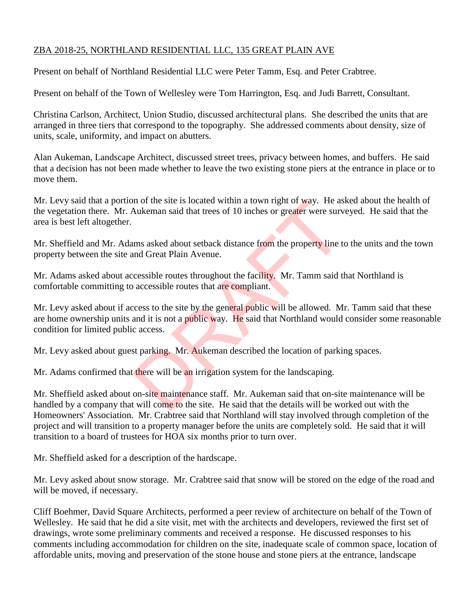## ZBA 2018-25, NORTHLAND RESIDENTIAL LLC, 135 GREAT PLAIN AVE

Present on behalf of Northland Residential LLC were Peter Tamm, Esq. and Peter Crabtree.

Present on behalf of the Town of Wellesley were Tom Harrington, Esq. and Judi Barrett, Consultant.

Christina Carlson, Architect, Union Studio, discussed architectural plans. She described the units that are arranged in three tiers that correspond to the topography. She addressed comments about density, size of units, scale, uniformity, and impact on abutters.

Alan Aukeman, Landscape Architect, discussed street trees, privacy between homes, and buffers. He said that a decision has not been made whether to leave the two existing stone piers at the entrance in place or to move them.

Mr. Levy said that a portion of the site is located within a town right of way. He asked about the health of the vegetation there. Mr. Aukeman said that trees of 10 inches or greater were surveyed. He said that the area is best left altogether.

Mr. Sheffield and Mr. Adams asked about setback distance from the property line to the units and the town property between the site and Great Plain Avenue.

Mr. Adams asked about accessible routes throughout the facility. Mr. Tamm said that Northland is comfortable committing to accessible routes that are compliant.

Mr. Levy asked about if access to the site by the general public will be allowed. Mr. Tamm said that these are home ownership units and it is not a public way. He said that Northland would consider some reasonable condition for limited public access. In or the site is located within a town right of way. He as<br>Aukeman said that trees of 10 inches or greater were surv<br>ms asked about setback distance from the property line t<br>and Great Plain Avenue.<br>cessible routes through

Mr. Levy asked about guest parking. Mr. Aukeman described the location of parking spaces.

Mr. Adams confirmed that there will be an irrigation system for the landscaping.

Mr. Sheffield asked about on-site maintenance staff. Mr. Aukeman said that on-site maintenance will be handled by a company that will come to the site. He said that the details will be worked out with the Homeowners' Association. Mr. Crabtree said that Northland will stay involved through completion of the project and will transition to a property manager before the units are completely sold. He said that it will transition to a board of trustees for HOA six months prior to turn over.

Mr. Sheffield asked for a description of the hardscape.

Mr. Levy asked about snow storage. Mr. Crabtree said that snow will be stored on the edge of the road and will be moved, if necessary.

Cliff Boehmer, David Square Architects, performed a peer review of architecture on behalf of the Town of Wellesley. He said that he did a site visit, met with the architects and developers, reviewed the first set of drawings, wrote some preliminary comments and received a response. He discussed responses to his comments including accommodation for children on the site, inadequate scale of common space, location of affordable units, moving and preservation of the stone house and stone piers at the entrance, landscape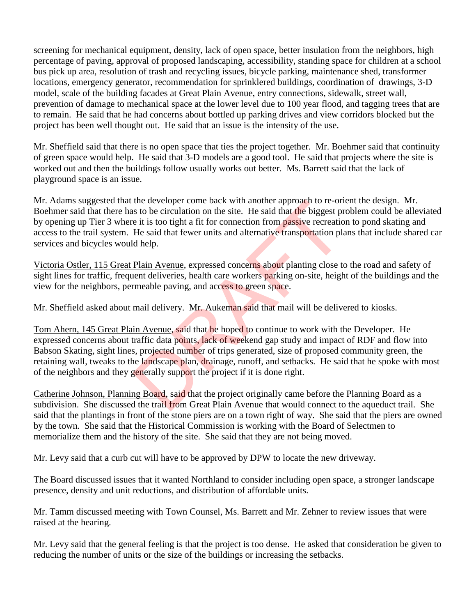screening for mechanical equipment, density, lack of open space, better insulation from the neighbors, high percentage of paving, approval of proposed landscaping, accessibility, standing space for children at a school bus pick up area, resolution of trash and recycling issues, bicycle parking, maintenance shed, transformer locations, emergency generator, recommendation for sprinklered buildings, coordination of drawings, 3-D model, scale of the building facades at Great Plain Avenue, entry connections, sidewalk, street wall, prevention of damage to mechanical space at the lower level due to 100 year flood, and tagging trees that are to remain. He said that he had concerns about bottled up parking drives and view corridors blocked but the project has been well thought out. He said that an issue is the intensity of the use.

Mr. Sheffield said that there is no open space that ties the project together. Mr. Boehmer said that continuity of green space would help. He said that 3-D models are a good tool. He said that projects where the site is worked out and then the buildings follow usually works out better. Ms. Barrett said that the lack of playground space is an issue.

Mr. Adams suggested that the developer come back with another approach to re-orient the design. Mr. Boehmer said that there has to be circulation on the site. He said that the biggest problem could be alleviated by opening up Tier 3 where it is too tight a fit for connection from passive recreation to pond skating and access to the trail system. He said that fewer units and alternative transportation plans that include shared car services and bicycles would help.

Victoria Ostler, 115 Great Plain Avenue, expressed concerns about planting close to the road and safety of sight lines for traffic, frequent deliveries, health care workers parking on-site, height of the buildings and the view for the neighbors, permeable paving, and access to green space.

Mr. Sheffield asked about mail delivery. Mr. Aukeman said that mail will be delivered to kiosks.

Tom Ahern, 145 Great Plain Avenue, said that he hoped to continue to work with the Developer. He expressed concerns about traffic data points, lack of weekend gap study and impact of RDF and flow into Babson Skating, sight lines, projected number of trips generated, size of proposed community green, the retaining wall, tweaks to the landscape plan, drainage, runoff, and setbacks. He said that he spoke with most of the neighbors and they generally support the project if it is done right. the developer come back with another approach to re-orn<br>is to be circulation on the site. He said that the biggest pr<br>e it is too tight a fit for connection from **passive** recreation<br>He said that fewer units and alternativ

Catherine Johnson, Planning Board, said that the project originally came before the Planning Board as a subdivision. She discussed the trail from Great Plain Avenue that would connect to the aqueduct trail. She said that the plantings in front of the stone piers are on a town right of way. She said that the piers are owned by the town. She said that the Historical Commission is working with the Board of Selectmen to memorialize them and the history of the site. She said that they are not being moved.

Mr. Levy said that a curb cut will have to be approved by DPW to locate the new driveway.

The Board discussed issues that it wanted Northland to consider including open space, a stronger landscape presence, density and unit reductions, and distribution of affordable units.

Mr. Tamm discussed meeting with Town Counsel, Ms. Barrett and Mr. Zehner to review issues that were raised at the hearing.

Mr. Levy said that the general feeling is that the project is too dense. He asked that consideration be given to reducing the number of units or the size of the buildings or increasing the setbacks.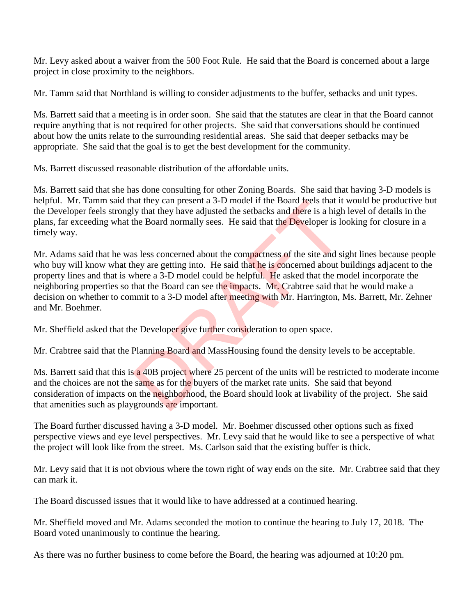Mr. Levy asked about a waiver from the 500 Foot Rule. He said that the Board is concerned about a large project in close proximity to the neighbors.

Mr. Tamm said that Northland is willing to consider adjustments to the buffer, setbacks and unit types.

Ms. Barrett said that a meeting is in order soon. She said that the statutes are clear in that the Board cannot require anything that is not required for other projects. She said that conversations should be continued about how the units relate to the surrounding residential areas. She said that deeper setbacks may be appropriate. She said that the goal is to get the best development for the community.

Ms. Barrett discussed reasonable distribution of the affordable units.

Ms. Barrett said that she has done consulting for other Zoning Boards. She said that having 3-D models is helpful. Mr. Tamm said that they can present a 3-D model if the Board feels that it would be productive but the Developer feels strongly that they have adjusted the setbacks and there is a high level of details in the plans, far exceeding what the Board normally sees. He said that the Developer is looking for closure in a timely way.

Mr. Adams said that he was less concerned about the compactness of the site and sight lines because people who buy will know what they are getting into. He said that he is concerned about buildings adjacent to the property lines and that is where a 3-D model could be helpful. He asked that the model incorporate the neighboring properties so that the Board can see the *impacts*. Mr. Crabtree said that he would make a decision on whether to commit to a 3-D model after meeting with Mr. Harrington, Ms. Barrett, Mr. Zehner and Mr. Boehmer. at they can present a 3-D model if the Board teels that it<br>ly that they have adjusted the setbacks and there is a high<br>the Board normally sees. He said that the Developer is los<br>less concerned about the compactness of the

Mr. Sheffield asked that the Developer give further consideration to open space.

Mr. Crabtree said that the Planning Board and MassHousing found the density levels to be acceptable.

Ms. Barrett said that this is a 40B project where 25 percent of the units will be restricted to moderate income and the choices are not the same as for the buyers of the market rate units. She said that beyond consideration of impacts on the neighborhood, the Board should look at livability of the project. She said that amenities such as playgrounds are important.

The Board further discussed having a 3-D model. Mr. Boehmer discussed other options such as fixed perspective views and eye level perspectives. Mr. Levy said that he would like to see a perspective of what the project will look like from the street. Ms. Carlson said that the existing buffer is thick.

Mr. Levy said that it is not obvious where the town right of way ends on the site. Mr. Crabtree said that they can mark it.

The Board discussed issues that it would like to have addressed at a continued hearing.

Mr. Sheffield moved and Mr. Adams seconded the motion to continue the hearing to July 17, 2018. The Board voted unanimously to continue the hearing.

As there was no further business to come before the Board, the hearing was adjourned at 10:20 pm.